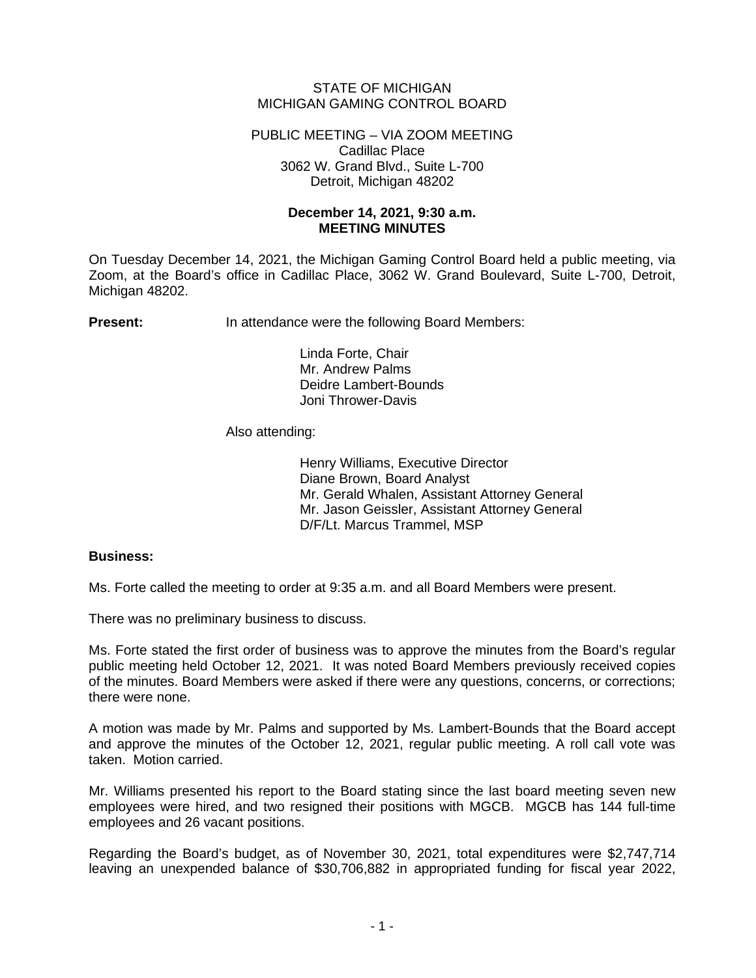## STATE OF MICHIGAN MICHIGAN GAMING CONTROL BOARD

PUBLIC MEETING – VIA ZOOM MEETING Cadillac Place 3062 W. Grand Blvd., Suite L-700 Detroit, Michigan 48202

## **December 14, 2021, 9:30 a.m. MEETING MINUTES**

On Tuesday December 14, 2021, the Michigan Gaming Control Board held a public meeting, via Zoom, at the Board's office in Cadillac Place, 3062 W. Grand Boulevard, Suite L-700, Detroit, Michigan 48202.

**Present:** In attendance were the following Board Members:

Linda Forte, Chair Mr. Andrew Palms Deidre Lambert-Bounds Joni Thrower-Davis

## Also attending:

Henry Williams, Executive Director Diane Brown, Board Analyst Mr. Gerald Whalen, Assistant Attorney General Mr. Jason Geissler, Assistant Attorney General D/F/Lt. Marcus Trammel, MSP

## **Business:**

Ms. Forte called the meeting to order at 9:35 a.m. and all Board Members were present.

There was no preliminary business to discuss.

Ms. Forte stated the first order of business was to approve the minutes from the Board's regular public meeting held October 12, 2021. It was noted Board Members previously received copies of the minutes. Board Members were asked if there were any questions, concerns, or corrections; there were none.

A motion was made by Mr. Palms and supported by Ms. Lambert-Bounds that the Board accept and approve the minutes of the October 12, 2021, regular public meeting. A roll call vote was taken. Motion carried.

Mr. Williams presented his report to the Board stating since the last board meeting seven new employees were hired, and two resigned their positions with MGCB. MGCB has 144 full-time employees and 26 vacant positions.

Regarding the Board's budget, as of November 30, 2021, total expenditures were \$2,747,714 leaving an unexpended balance of \$30,706,882 in appropriated funding for fiscal year 2022,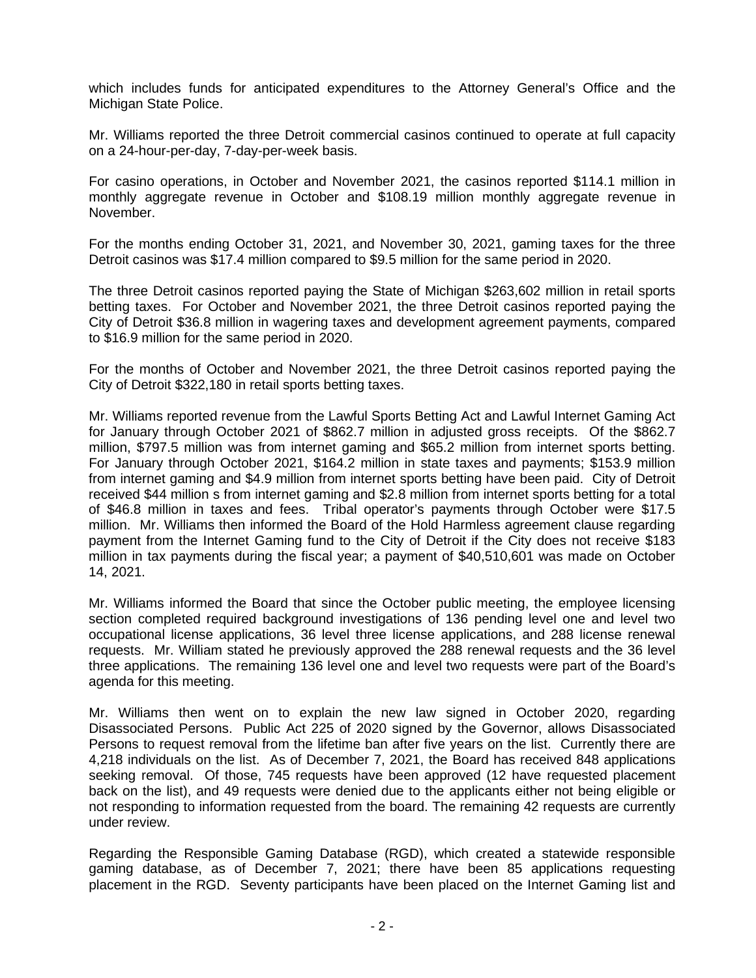which includes funds for anticipated expenditures to the Attorney General's Office and the Michigan State Police.

Mr. Williams reported the three Detroit commercial casinos continued to operate at full capacity on a 24-hour-per-day, 7-day-per-week basis.

For casino operations, in October and November 2021, the casinos reported \$114.1 million in monthly aggregate revenue in October and \$108.19 million monthly aggregate revenue in November.

For the months ending October 31, 2021, and November 30, 2021, gaming taxes for the three Detroit casinos was \$17.4 million compared to \$9.5 million for the same period in 2020.

The three Detroit casinos reported paying the State of Michigan \$263,602 million in retail sports betting taxes. For October and November 2021, the three Detroit casinos reported paying the City of Detroit \$36.8 million in wagering taxes and development agreement payments, compared to \$16.9 million for the same period in 2020.

For the months of October and November 2021, the three Detroit casinos reported paying the City of Detroit \$322,180 in retail sports betting taxes.

Mr. Williams reported revenue from the Lawful Sports Betting Act and Lawful Internet Gaming Act for January through October 2021 of \$862.7 million in adjusted gross receipts. Of the \$862.7 million, \$797.5 million was from internet gaming and \$65.2 million from internet sports betting. For January through October 2021, \$164.2 million in state taxes and payments; \$153.9 million from internet gaming and \$4.9 million from internet sports betting have been paid. City of Detroit received \$44 million s from internet gaming and \$2.8 million from internet sports betting for a total of \$46.8 million in taxes and fees. Tribal operator's payments through October were \$17.5 million. Mr. Williams then informed the Board of the Hold Harmless agreement clause regarding payment from the Internet Gaming fund to the City of Detroit if the City does not receive \$183 million in tax payments during the fiscal year; a payment of \$40,510,601 was made on October 14, 2021.

Mr. Williams informed the Board that since the October public meeting, the employee licensing section completed required background investigations of 136 pending level one and level two occupational license applications, 36 level three license applications, and 288 license renewal requests. Mr. William stated he previously approved the 288 renewal requests and the 36 level three applications. The remaining 136 level one and level two requests were part of the Board's agenda for this meeting.

Mr. Williams then went on to explain the new law signed in October 2020, regarding Disassociated Persons. Public Act 225 of 2020 signed by the Governor, allows Disassociated Persons to request removal from the lifetime ban after five years on the list. Currently there are 4,218 individuals on the list. As of December 7, 2021, the Board has received 848 applications seeking removal. Of those, 745 requests have been approved (12 have requested placement back on the list), and 49 requests were denied due to the applicants either not being eligible or not responding to information requested from the board. The remaining 42 requests are currently under review.

Regarding the Responsible Gaming Database (RGD), which created a statewide responsible gaming database, as of December 7, 2021; there have been 85 applications requesting placement in the RGD. Seventy participants have been placed on the Internet Gaming list and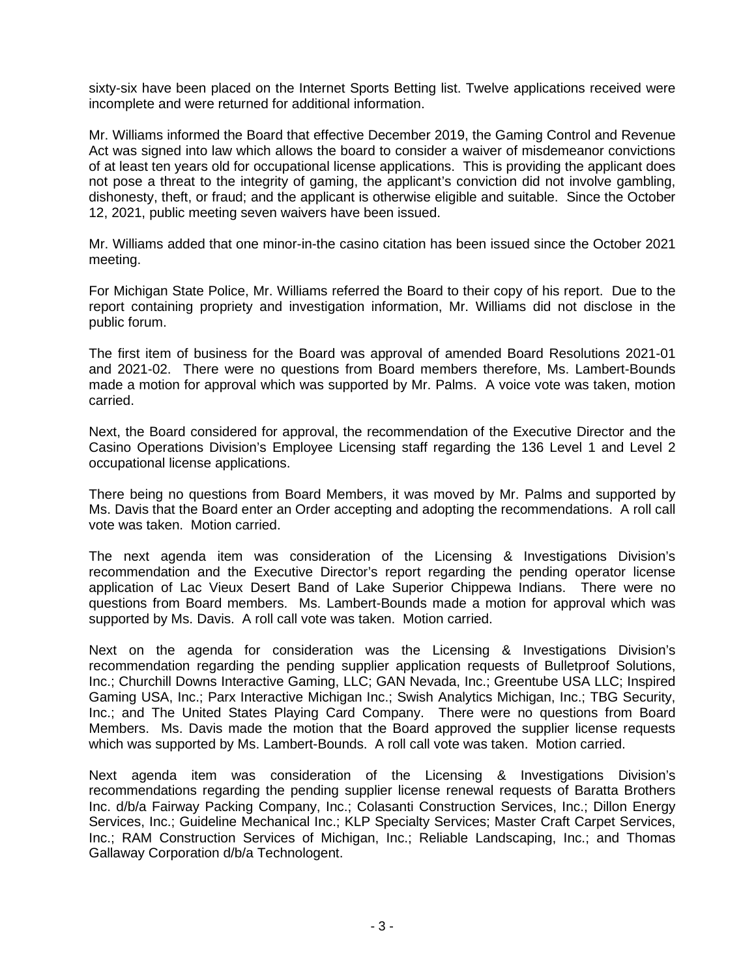sixty-six have been placed on the Internet Sports Betting list. Twelve applications received were incomplete and were returned for additional information.

Mr. Williams informed the Board that effective December 2019, the Gaming Control and Revenue Act was signed into law which allows the board to consider a waiver of misdemeanor convictions of at least ten years old for occupational license applications. This is providing the applicant does not pose a threat to the integrity of gaming, the applicant's conviction did not involve gambling, dishonesty, theft, or fraud; and the applicant is otherwise eligible and suitable. Since the October 12, 2021, public meeting seven waivers have been issued.

Mr. Williams added that one minor-in-the casino citation has been issued since the October 2021 meeting.

For Michigan State Police, Mr. Williams referred the Board to their copy of his report. Due to the report containing propriety and investigation information, Mr. Williams did not disclose in the public forum.

The first item of business for the Board was approval of amended Board Resolutions 2021-01 and 2021-02. There were no questions from Board members therefore, Ms. Lambert-Bounds made a motion for approval which was supported by Mr. Palms. A voice vote was taken, motion carried.

Next, the Board considered for approval, the recommendation of the Executive Director and the Casino Operations Division's Employee Licensing staff regarding the 136 Level 1 and Level 2 occupational license applications.

There being no questions from Board Members, it was moved by Mr. Palms and supported by Ms. Davis that the Board enter an Order accepting and adopting the recommendations. A roll call vote was taken. Motion carried.

The next agenda item was consideration of the Licensing & Investigations Division's recommendation and the Executive Director's report regarding the pending operator license application of Lac Vieux Desert Band of Lake Superior Chippewa Indians. There were no questions from Board members. Ms. Lambert-Bounds made a motion for approval which was supported by Ms. Davis. A roll call vote was taken. Motion carried.

Next on the agenda for consideration was the Licensing & Investigations Division's recommendation regarding the pending supplier application requests of Bulletproof Solutions, Inc.; Churchill Downs Interactive Gaming, LLC; GAN Nevada, Inc.; Greentube USA LLC; Inspired Gaming USA, Inc.; Parx Interactive Michigan Inc.; Swish Analytics Michigan, Inc.; TBG Security, Inc.; and The United States Playing Card Company. There were no questions from Board Members. Ms. Davis made the motion that the Board approved the supplier license requests which was supported by Ms. Lambert-Bounds. A roll call vote was taken. Motion carried.

Next agenda item was consideration of the Licensing & Investigations Division's recommendations regarding the pending supplier license renewal requests of Baratta Brothers Inc. d/b/a Fairway Packing Company, Inc.; Colasanti Construction Services, Inc.; Dillon Energy Services, Inc.; Guideline Mechanical Inc.; KLP Specialty Services; Master Craft Carpet Services, Inc.; RAM Construction Services of Michigan, Inc.; Reliable Landscaping, Inc.; and Thomas Gallaway Corporation d/b/a Technologent.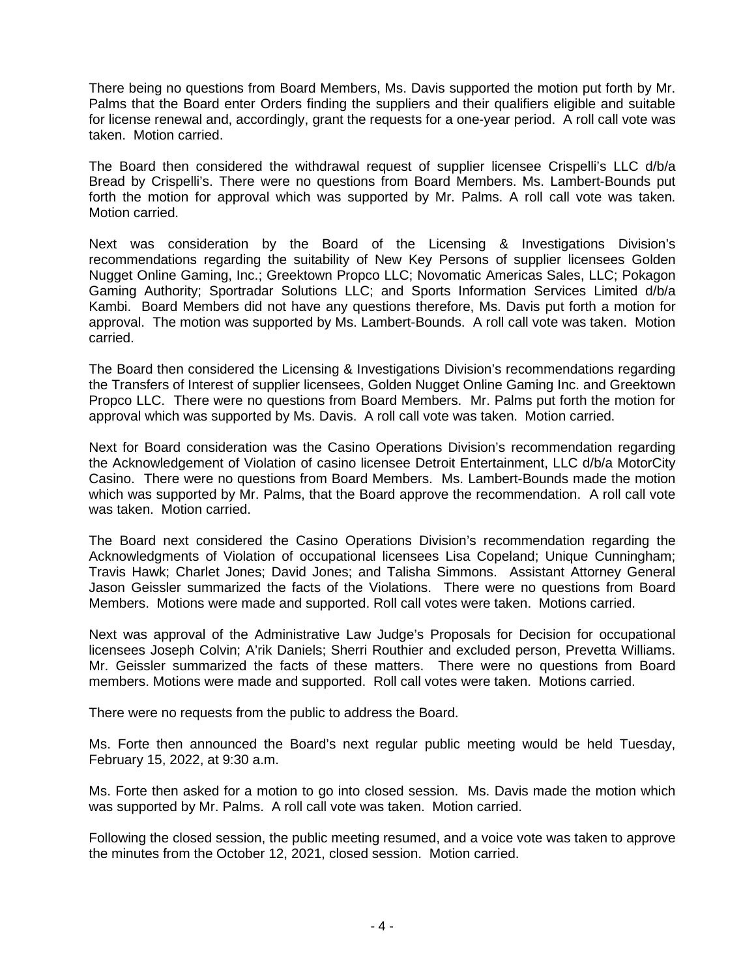There being no questions from Board Members, Ms. Davis supported the motion put forth by Mr. Palms that the Board enter Orders finding the suppliers and their qualifiers eligible and suitable for license renewal and, accordingly, grant the requests for a one-year period. A roll call vote was taken. Motion carried.

The Board then considered the withdrawal request of supplier licensee Crispelli's LLC d/b/a Bread by Crispelli's. There were no questions from Board Members. Ms. Lambert-Bounds put forth the motion for approval which was supported by Mr. Palms. A roll call vote was taken. Motion carried.

Next was consideration by the Board of the Licensing & Investigations Division's recommendations regarding the suitability of New Key Persons of supplier licensees Golden Nugget Online Gaming, Inc.; Greektown Propco LLC; Novomatic Americas Sales, LLC; Pokagon Gaming Authority; Sportradar Solutions LLC; and Sports Information Services Limited d/b/a Kambi. Board Members did not have any questions therefore, Ms. Davis put forth a motion for approval. The motion was supported by Ms. Lambert-Bounds. A roll call vote was taken. Motion carried.

The Board then considered the Licensing & Investigations Division's recommendations regarding the Transfers of Interest of supplier licensees, Golden Nugget Online Gaming Inc. and Greektown Propco LLC. There were no questions from Board Members. Mr. Palms put forth the motion for approval which was supported by Ms. Davis. A roll call vote was taken. Motion carried.

Next for Board consideration was the Casino Operations Division's recommendation regarding the Acknowledgement of Violation of casino licensee Detroit Entertainment, LLC d/b/a MotorCity Casino. There were no questions from Board Members. Ms. Lambert-Bounds made the motion which was supported by Mr. Palms, that the Board approve the recommendation. A roll call vote was taken. Motion carried.

The Board next considered the Casino Operations Division's recommendation regarding the Acknowledgments of Violation of occupational licensees Lisa Copeland; Unique Cunningham; Travis Hawk; Charlet Jones; David Jones; and Talisha Simmons. Assistant Attorney General Jason Geissler summarized the facts of the Violations. There were no questions from Board Members. Motions were made and supported. Roll call votes were taken. Motions carried.

Next was approval of the Administrative Law Judge's Proposals for Decision for occupational licensees Joseph Colvin; A'rik Daniels; Sherri Routhier and excluded person, Prevetta Williams. Mr. Geissler summarized the facts of these matters. There were no questions from Board members. Motions were made and supported. Roll call votes were taken. Motions carried.

There were no requests from the public to address the Board.

Ms. Forte then announced the Board's next regular public meeting would be held Tuesday, February 15, 2022, at 9:30 a.m.

Ms. Forte then asked for a motion to go into closed session. Ms. Davis made the motion which was supported by Mr. Palms. A roll call vote was taken. Motion carried.

Following the closed session, the public meeting resumed, and a voice vote was taken to approve the minutes from the October 12, 2021, closed session. Motion carried.